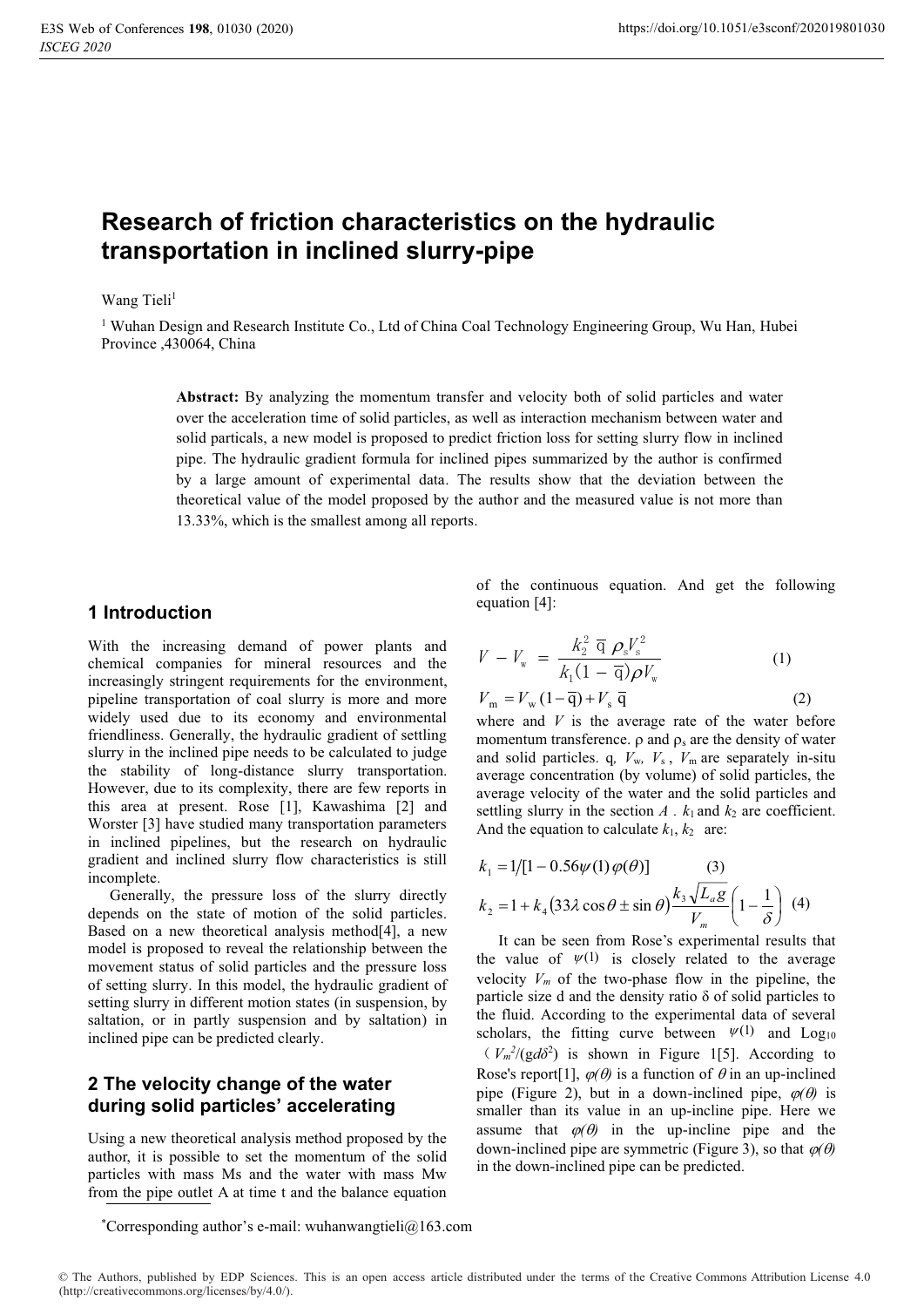# **Research of friction characteristics on the hydraulic transportation in inclined slurry-pipe**

#### Wang Tieli<sup>1</sup>

<sup>1</sup> Wuhan Design and Research Institute Co., Ltd of China Coal Technology Engineering Group, Wu Han, Hubei Province ,430064, China

> **Abstract:** By analyzing the momentum transfer and velocity both of solid particles and water over the acceleration time of solid particles, as well as interaction mechanism between water and solid particals, a new model is proposed to predict friction loss for setting slurry flow in inclined pipe. The hydraulic gradient formula for inclined pipes summarized by the author is confirmed by a large amount of experimental data. The results show that the deviation between the theoretical value of the model proposed by the author and the measured value is not more than 13.33%, which is the smallest among all reports.

#### **1 Introduction**

With the increasing demand of power plants and chemical companies for mineral resources and the increasingly stringent requirements for the environment, pipeline transportation of coal slurry is more and more widely used due to its economy and environmental friendliness. Generally, the hydraulic gradient of settling slurry in the inclined pipe needs to be calculated to judge the stability of long-distance slurry transportation. However, due to its complexity, there are few reports in this area at present. Rose [1], Kawashima [2] and Worster [3] have studied many transportation parameters in inclined pipelines, but the research on hydraulic gradient and inclined slurry flow characteristics is still incomplete.

Generally, the pressure loss of the slurry directly depends on the state of motion of the solid particles. Based on a new theoretical analysis method[4], a new model is proposed to reveal the relationship between the movement status of solid particles and the pressure loss of setting slurry. In this model, the hydraulic gradient of setting slurry in different motion states (in suspension, by saltation, or in partly suspension and by saltation) in inclined pipe can be predicted clearly.

# **2 The velocity change of the water during solid particles' accelerating**

Using a new theoretical analysis method proposed by the author, it is possible to set the momentum of the solid particles with mass Ms and the water with mass Mw from the pipe outlet A at time t and the balance equation

\* Corresponding author's e-mail: wuhanwangtieli@163.com

of the continuous equation. And get the following equation [4]:

$$
V - V_{w} = \frac{k_{2}^{2} \overline{q} \rho_{s} V_{s}^{2}}{k_{1} (1 - \overline{q}) \rho V_{w}}
$$
(1)  

$$
V_{m} = V_{w} (1 - \overline{q}) + V_{s} \overline{q}
$$
(2)

where and *V* is the average rate of the water before momentum transference.  $\rho$  and  $\rho_s$  are the density of water and solid particles. q*, V*w*, V*<sup>s</sup> , *V*<sup>m</sup> are separately in-situ average concentration (by volume) of solid particles, the average velocity of the water and the solid particles and settling slurry in the section  $A \cdot k_1$  and  $k_2$  are coefficient. And the equation to calculate  $k_1, k_2$  are:

$$
k_1 = 1/[1 - 0.56\psi(1)\varphi(\theta)] \qquad (3)
$$
  

$$
k_2 = 1 + k_4(33\lambda\cos\theta \pm \sin\theta) \frac{k_3\sqrt{L_a g}}{V_m} \left(1 - \frac{1}{\delta}\right)
$$
 (4)

It can be seen from Rose's experimental results that the value of  $\Psi(1)$  is closely related to the average velocity  $V_m$  of the two-phase flow in the pipeline, the particle size d and the density ratio  $\delta$  of solid particles to the fluid. According to the experimental data of several scholars, the fitting curve between  $\psi(1)$  and Log<sub>10</sub>  $(V_m^2/(gd\delta^2))$  is shown in Figure 1[5]. According to Rose's report [1],  $\varphi(\theta)$  is a function of  $\theta$  in an up-inclined pipe (Figure 2), but in a down-inclined pipe,  $\varphi(\theta)$  is smaller than its value in an up-incline pipe. Here we assume that  $\varphi(\theta)$  in the up-incline pipe and the down-inclined pipe are symmetric (Figure 3), so that  $\varphi(\theta)$ in the down-inclined pipe can be predicted.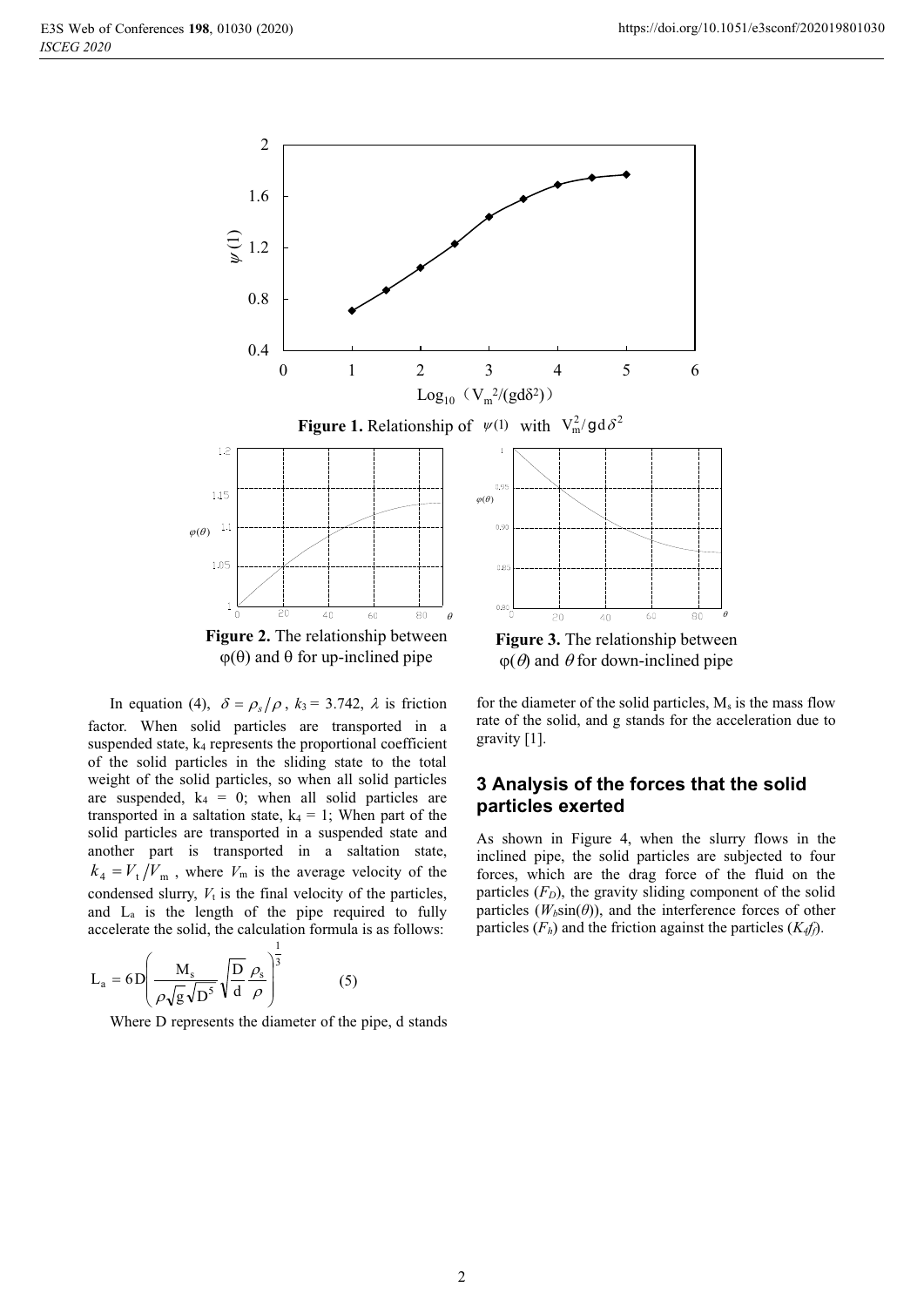

In equation (4),  $\delta = \rho_s/\rho$ ,  $k_3 = 3.742$ ,  $\lambda$  is friction factor. When solid particles are transported in a suspended state,  $k_4$  represents the proportional coefficient of the solid particles in the sliding state to the total weight of the solid particles, so when all solid particles are suspended,  $k_4 = 0$ ; when all solid particles are transported in a saltation state,  $k_4 = 1$ ; When part of the solid particles are transported in a suspended state and another part is transported in a saltation state,  $k_4 = V_t/V_m$ , where  $V_m$  is the average velocity of the condensed slurry,  $V_t$  is the final velocity of the particles, and La is the length of the pipe required to fully accelerate the solid, the calculation formula is as follows:

$$
L_a = 6D \left( \frac{M_s}{\rho \sqrt{g} \sqrt{D^5}} \sqrt{\frac{D}{d} \frac{\rho_s}{\rho}} \right)^{\frac{1}{3}}
$$
(5)

Where D represents the diameter of the pipe, d stands

 $\varphi(\theta)$  and  $\theta$  for down-inclined pipe

for the diameter of the solid particles,  $M_s$  is the mass flow rate of the solid, and g stands for the acceleration due to gravity [1].

 $\theta$ 

# **3 Analysis of the forces that the solid particles exerted**

As shown in Figure 4, when the slurry flows in the inclined pipe, the solid particles are subjected to four forces, which are the drag force of the fluid on the particles  $(F_D)$ , the gravity sliding component of the solid particles  $(W_b\sin(\theta))$ , and the interference forces of other particles  $(F_h)$  and the friction against the particles  $(K_4f_f)$ .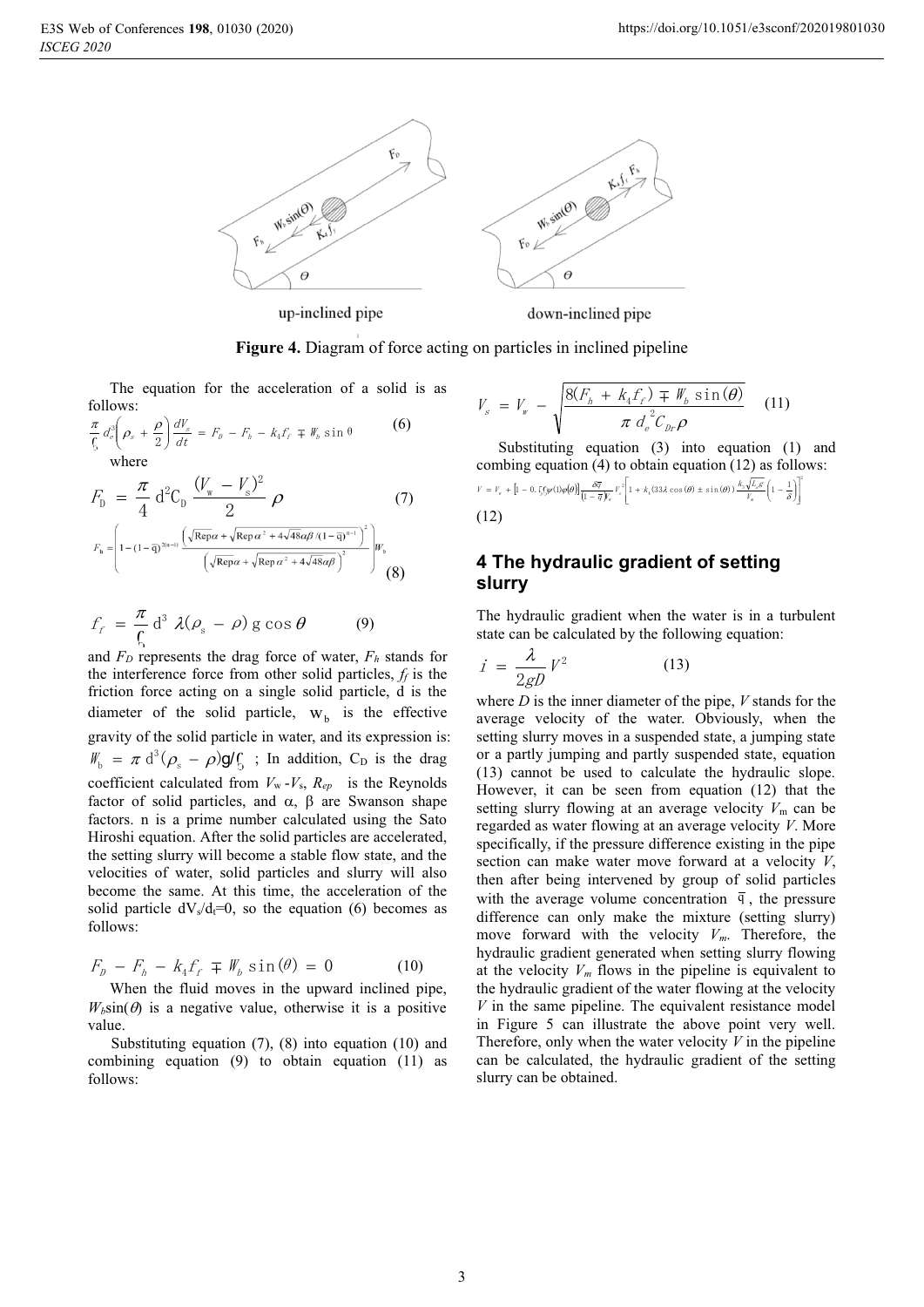

**Figure 4.** Diagram of force acting on particles in inclined pipeline

The equation for the acceleration of a solid is as follows:

$$
\frac{\pi}{6} d_e^3 \left( \rho_s + \frac{\rho}{2} \right) \frac{dV_s}{dt} = F_p - F_h - k_4 F_f \mp W_b \sin \theta
$$
 (6)

$$
F_{\rm D} = \frac{\pi}{4} d^2 C_{\rm D} \frac{(V_{\rm w} - V_{\rm s})^2}{2} \rho
$$
(7)  

$$
F_{\rm h} = \left(1 - (1 - \overline{q})^{2(n-1)} \frac{(\sqrt{\text{Rep}} \alpha + \sqrt{\text{Rep}} \alpha^2 + 4\sqrt{48} \alpha \beta / (1 - \overline{q})^{n-1})^2}{(\sqrt{\text{Rep}} \alpha + \sqrt{\text{Rep}} \alpha^2 + 4\sqrt{48} \alpha \beta)^2}\right) W_{\rm b}
$$
(8)

$$
f_f = \frac{\pi}{\zeta} d^3 \lambda (\rho_s - \rho) g \cos \theta \qquad (9)
$$

and  $F_D$  represents the drag force of water,  $F_h$  stands for the interference force from other solid particles,  $f_f$  is the friction force acting on a single solid particle, d is the diameter of the solid particle,  $W_b$  is the effective gravity of the solid particle in water, and its expression is:  $W_b = \pi d^3 (\rho_s - \rho) g f_b$ ; In addition, C<sub>D</sub> is the drag coefficient calculated from  $V_w - V_s$ ,  $R_{ep}$  is the Reynolds factor of solid particles, and  $\alpha$ ,  $\beta$  are Swanson shape factors. n is a prime number calculated using the Sato Hiroshi equation. After the solid particles are accelerated, the setting slurry will become a stable flow state, and the velocities of water, solid particles and slurry will also become the same. At this time, the acceleration of the solid particle  $dV_s/d_t=0$ , so the equation (6) becomes as follows:

$$
F_p - F_h - k_4 f_f \mp W_b \sin(\theta) = 0 \tag{10}
$$

When the fluid moves in the upward inclined pipe,  $W_b \sin(\theta)$  is a negative value, otherwise it is a positive value.

Substituting equation (7), (8) into equation (10) and combining equation (9) to obtain equation (11) as follows:

$$
V_{s} = V_{w} - \sqrt{\frac{8(F_{h} + k_{4}f_{f}) \mp W_{h} \sin(\theta)}{\pi d_{e}^{2}C_{hr}\rho}}
$$
 (11)

Substituting equation (3) into equation (1) and combing equation (4) to obtain equation (12) as follows:

$$
V = V_{r} + \left[1 - 0.5\zeta\psi(1)\varphi(\theta)\right] \frac{\delta\overline{q}}{\left(1 - \overline{q}\right)_{r}} V_{s}^{2} \left[1 + k_{s}(33\lambda\cos(\theta) \pm \sin(\theta)) \frac{k_{s}\sqrt{L_{s}\varepsilon}}{V_{s}} \left(1 - \frac{1}{\delta}\right)\right]^{2}
$$
  
(12)

# **4 The hydraulic gradient of setting slurry**

The hydraulic gradient when the water is in a turbulent state can be calculated by the following equation:

$$
i = \frac{\lambda}{2gD} V^2 \tag{13}
$$

where *D* is the inner diameter of the pipe, *V* stands for the average velocity of the water. Obviously, when the setting slurry moves in a suspended state, a jumping state or a partly jumping and partly suspended state, equation (13) cannot be used to calculate the hydraulic slope. However, it can be seen from equation (12) that the setting slurry flowing at an average velocity *V*<sup>m</sup> can be regarded as water flowing at an average velocity *V*. More specifically, if the pressure difference existing in the pipe section can make water move forward at a velocity *V*, then after being intervened by group of solid particles with the average volume concentration  $\overline{q}$ , the pressure difference can only make the mixture (setting slurry) move forward with the velocity *Vm*. Therefore, the hydraulic gradient generated when setting slurry flowing at the velocity  $V_m$  flows in the pipeline is equivalent to the hydraulic gradient of the water flowing at the velocity *V* in the same pipeline. The equivalent resistance model in Figure 5 can illustrate the above point very well. Therefore, only when the water velocity *V* in the pipeline can be calculated, the hydraulic gradient of the setting slurry can be obtained.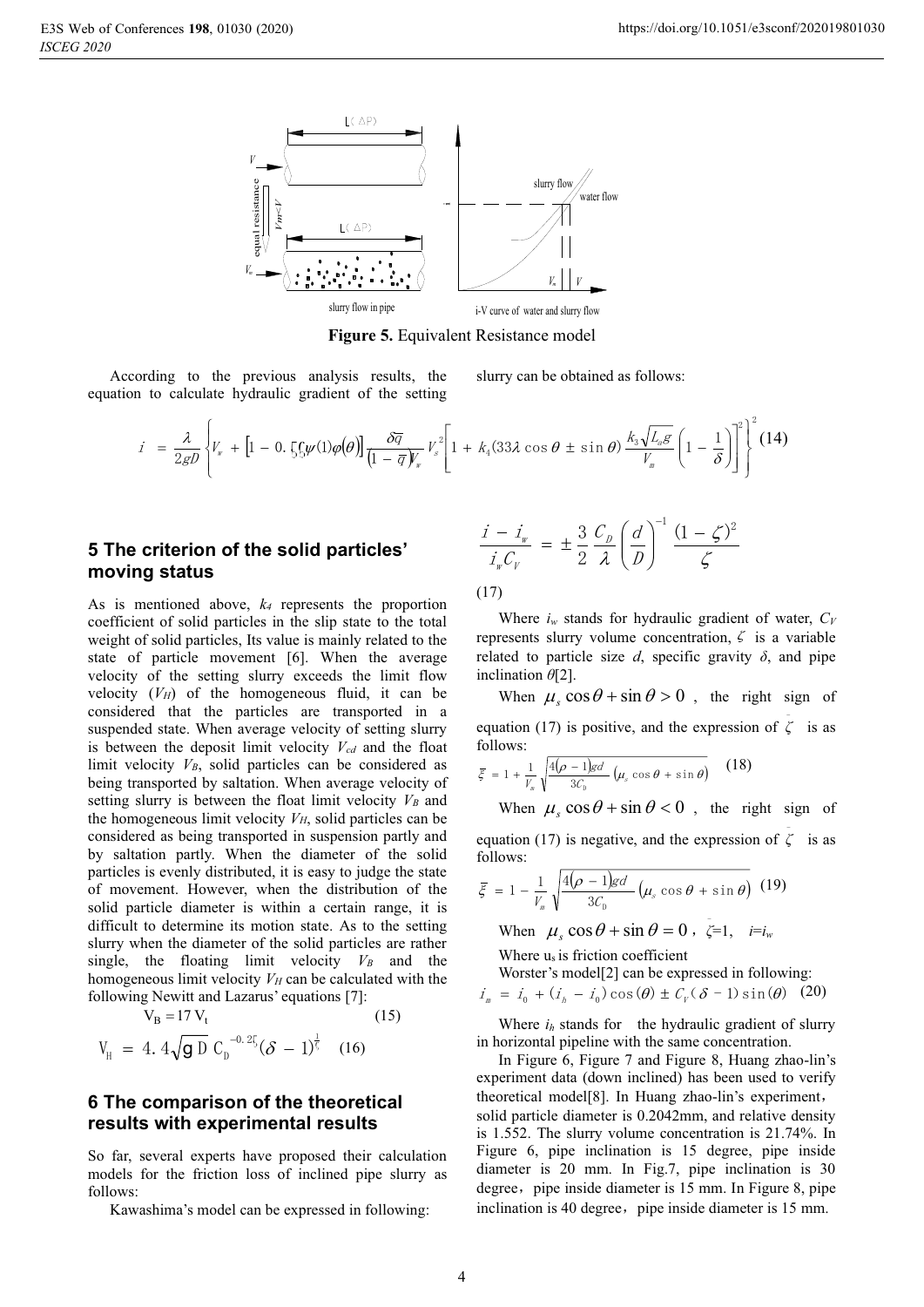

**Figure 5.** Equivalent Resistance model

According to the previous analysis results, the equation to calculate hydraulic gradient of the setting

slurry can be obtained as follows:

$$
i = \frac{\lambda}{2gD} \left\{ V_{w} + \left[ 1 - 0.5\int_{S} \psi(1)\varphi(\theta) \right] \frac{\delta \overline{q}}{\left( 1 - \overline{q} V_{w} \right)^{2}} V_{s}^{2} \left[ 1 + k_{4}(33\lambda \cos \theta \pm \sin \theta) \frac{k_{3} \sqrt{L_{a}g}}{V_{m}} \left( 1 - \frac{1}{\delta} \right) \right]^{2} \right\}^{2} (14)
$$

# **5 The criterion of the solid particles' moving status**

As is mentioned above, *k4* represents the proportion coefficient of solid particles in the slip state to the total weight of solid particles, Its value is mainly related to the state of particle movement [6]. When the average velocity of the setting slurry exceeds the limit flow velocity  $(V_H)$  of the homogeneous fluid, it can be considered that the particles are transported in a suspended state. When average velocity of setting slurry is between the deposit limit velocity  $V_{cd}$  and the float limit velocity  $V_B$ , solid particles can be considered as being transported by saltation. When average velocity of setting slurry is between the float limit velocity  $V_B$  and the homogeneous limit velocity  $V_H$ , solid particles can be considered as being transported in suspension partly and by saltation partly. When the diameter of the solid particles is evenly distributed, it is easy to judge the state of movement. However, when the distribution of the solid particle diameter is within a certain range, it is difficult to determine its motion state. As to the setting slurry when the diameter of the solid particles are rather single, the floating limit velocity  $V_B$  and the homogeneous limit velocity  $V_H$  can be calculated with the following Newitt and Lazarus' equations [7]:

$$
V_{B} = 17 V_{t}
$$
\n
$$
V_{H} = 4.4 \sqrt{g D} C_{D}^{-0.25} (\delta - 1)^{\frac{1}{5}} \quad (16)
$$

### **6 The comparison of the theoretical results with experimental results**

So far, several experts have proposed their calculation models for the friction loss of inclined pipe slurry as follows:

Kawashima's model can be expressed in following:

$$
\frac{i - i_w}{i_w C_v} = \pm \frac{3}{2} \frac{C_D}{\lambda} \left(\frac{d}{D}\right)^{-1} \frac{(1 - \zeta)^2}{\zeta}
$$

(17)

Where  $i_w$  stands for hydraulic gradient of water,  $C_V$ represents slurry volume concentration,  $\zeta$  is a variable related to particle size  $d$ , specific gravity  $\delta$ , and pipe inclination *θ*[2].

When  $\mu_s \cos \theta + \sin \theta > 0$ , the right sign of equation (17) is positive, and the expression of  $\overline{\zeta}$  is as follows:

$$
\bar{\xi} = 1 + \frac{1}{V_s} \sqrt{\frac{4(\rho - 1)gd}{3C_b} (\mu_s \cos \theta + \sin \theta)} \quad (18)
$$

When  $\mu_s \cos \theta + \sin \theta < 0$ , the right sign of equation (17) is negative, and the expression of  $\zeta$  is as follows:

$$
\bar{\xi} = 1 - \frac{1}{V_{m}} \sqrt{\frac{4(\rho - 1)gd}{3C_{D}}} \left(\mu_{s} \cos \theta + \sin \theta\right) (19)
$$

When  $\mu_s \cos \theta + \sin \theta = 0$ ,  $\zeta = 1$ ,  $i = i_w$ 

Where  $u_s$  is friction coefficient

Worster's model[2] can be expressed in following:

$$
i_{\scriptscriptstyle{m}} = i_0 + (i_{\scriptscriptstyle{h}} - i_0) \cos(\theta) \pm C_V (\delta - 1) \sin(\theta) \quad (20)
$$

Where  $i_h$  stands for the hydraulic gradient of slurry in horizontal pipeline with the same concentration.

In Figure 6, Figure 7 and Figure 8, Huang zhao-lin's experiment data (down inclined) has been used to verify theoretical model $[8]$ . In Huang zhao-lin's experiment, solid particle diameter is 0.2042mm, and relative density is 1.552. The slurry volume concentration is 21.74%. In Figure 6, pipe inclination is 15 degree, pipe inside diameter is 20 mm. In Fig.7, pipe inclination is 30 degree, pipe inside diameter is 15 mm. In Figure 8, pipe inclination is 40 degree, pipe inside diameter is 15 mm.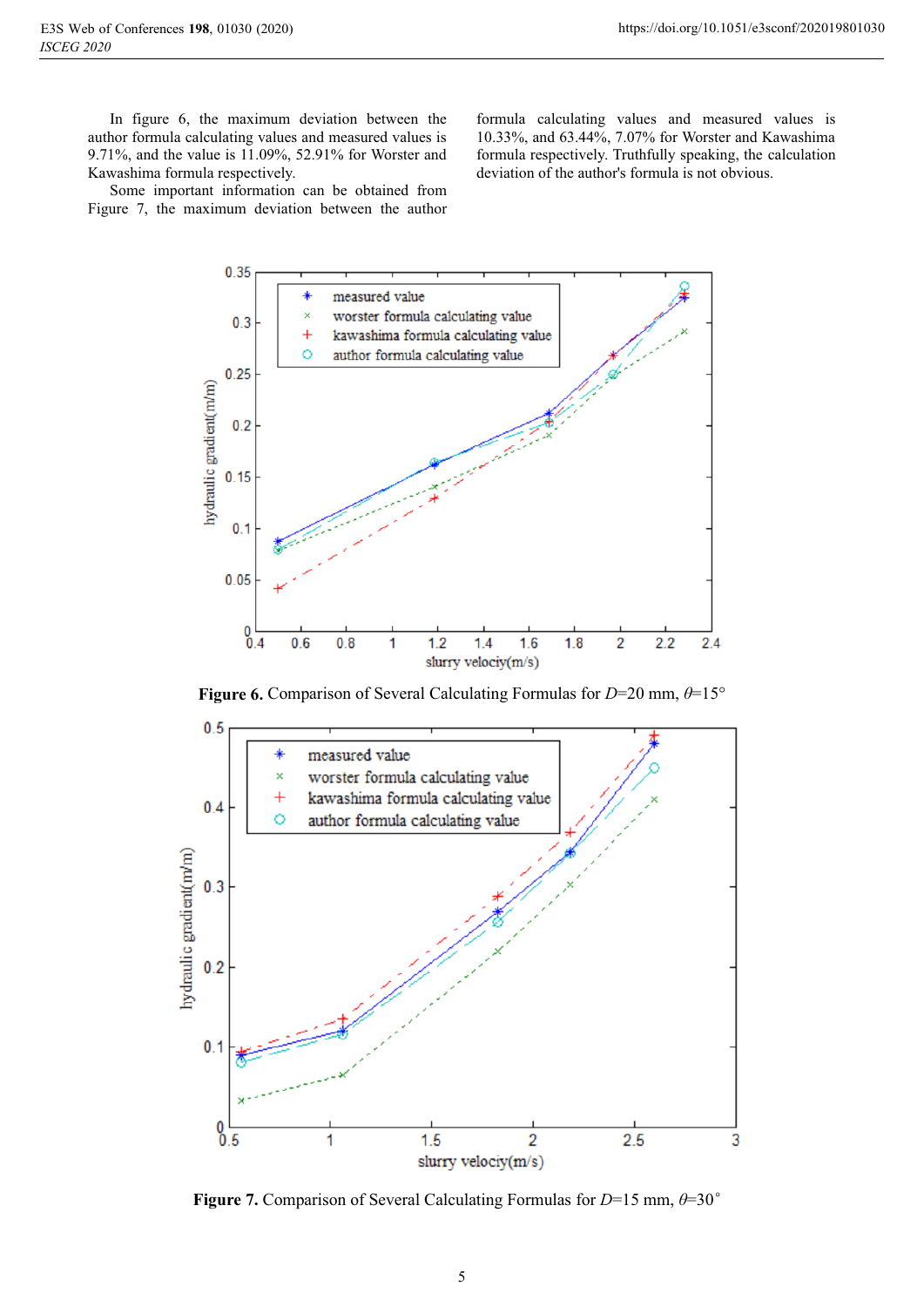In figure 6, the maximum deviation between the author formula calculating values and measured values is 9.71%, and the value is 11.09%, 52.91% for Worster and Kawashima formula respectively.

Some important information can be obtained from Figure 7, the maximum deviation between the author

formula calculating values and measured values is 10.33%, and 63.44%, 7.07% for Worster and Kawashima formula respectively. Truthfully speaking, the calculation deviation of the author's formula is not obvious.



**Figure 6.** Comparison of Several Calculating Formulas for *D*=20 mm, *θ*=15°



**Figure 7.** Comparison of Several Calculating Formulas for  $D=15$  mm,  $\theta=30^\circ$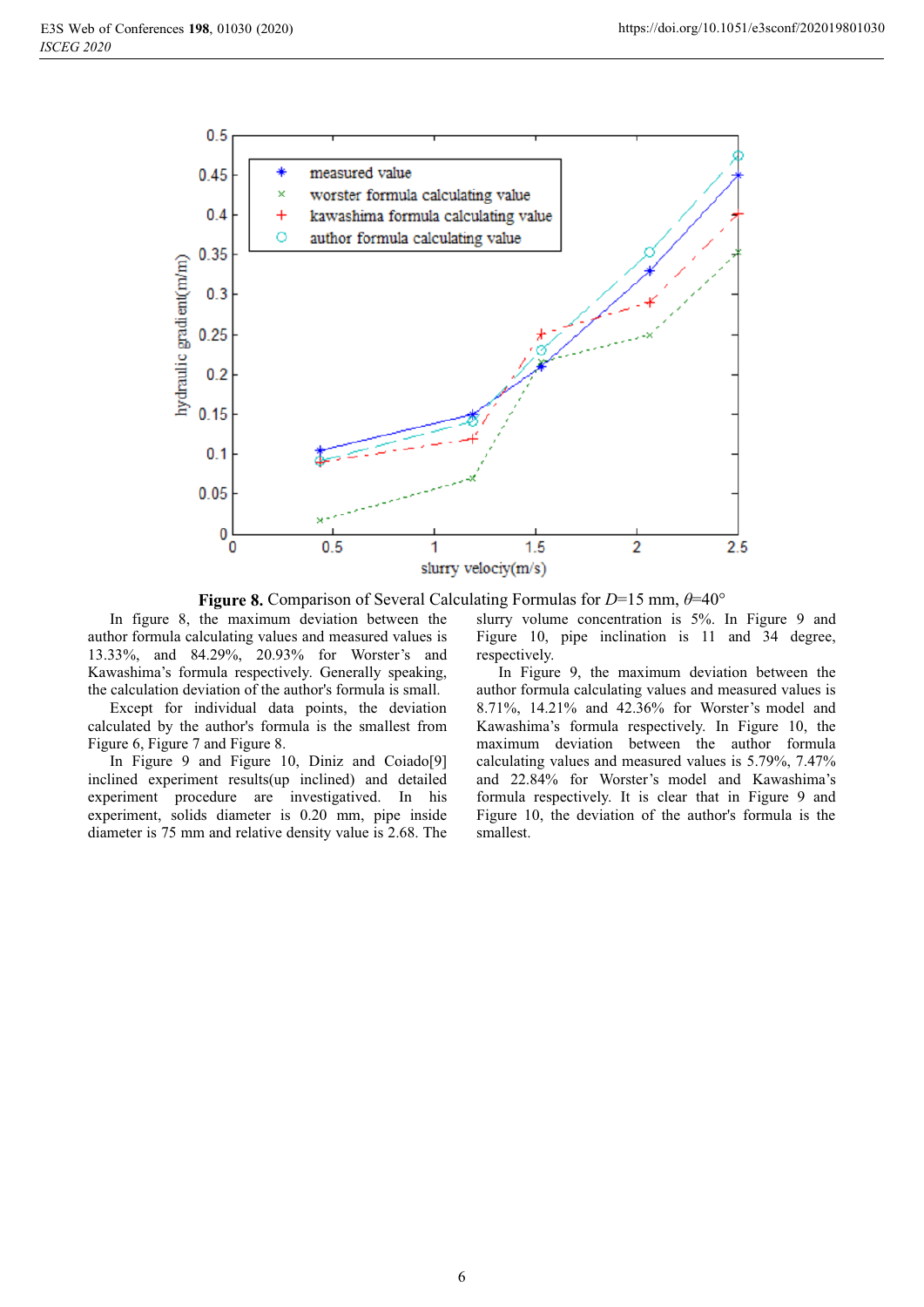

**Figure 8.** Comparison of Several Calculating Formulas for *D*=15 mm, *θ*=40°

In figure 8, the maximum deviation between the author formula calculating values and measured values is 13.33%, and 84.29%, 20.93% for Worster's and Kawashima's formula respectively. Generally speaking, the calculation deviation of the author's formula is small.

Except for individual data points, the deviation calculated by the author's formula is the smallest from Figure 6, Figure 7 and Figure 8.

In Figure 9 and Figure 10, Diniz and Coiado[9] inclined experiment results(up inclined) and detailed experiment procedure are investigatived. In his experiment, solids diameter is 0.20 mm, pipe inside diameter is 75 mm and relative density value is 2.68. The

slurry volume concentration is 5%. In Figure 9 and Figure 10, pipe inclination is 11 and 34 degree, respectively.

In Figure 9, the maximum deviation between the author formula calculating values and measured values is 8.71%, 14.21% and 42.36% for Worster's model and Kawashima's formula respectively. In Figure 10, the maximum deviation between the author formula calculating values and measured values is 5.79%, 7.47% and 22.84% for Worster's model and Kawashima's formula respectively. It is clear that in Figure 9 and Figure 10, the deviation of the author's formula is the smallest.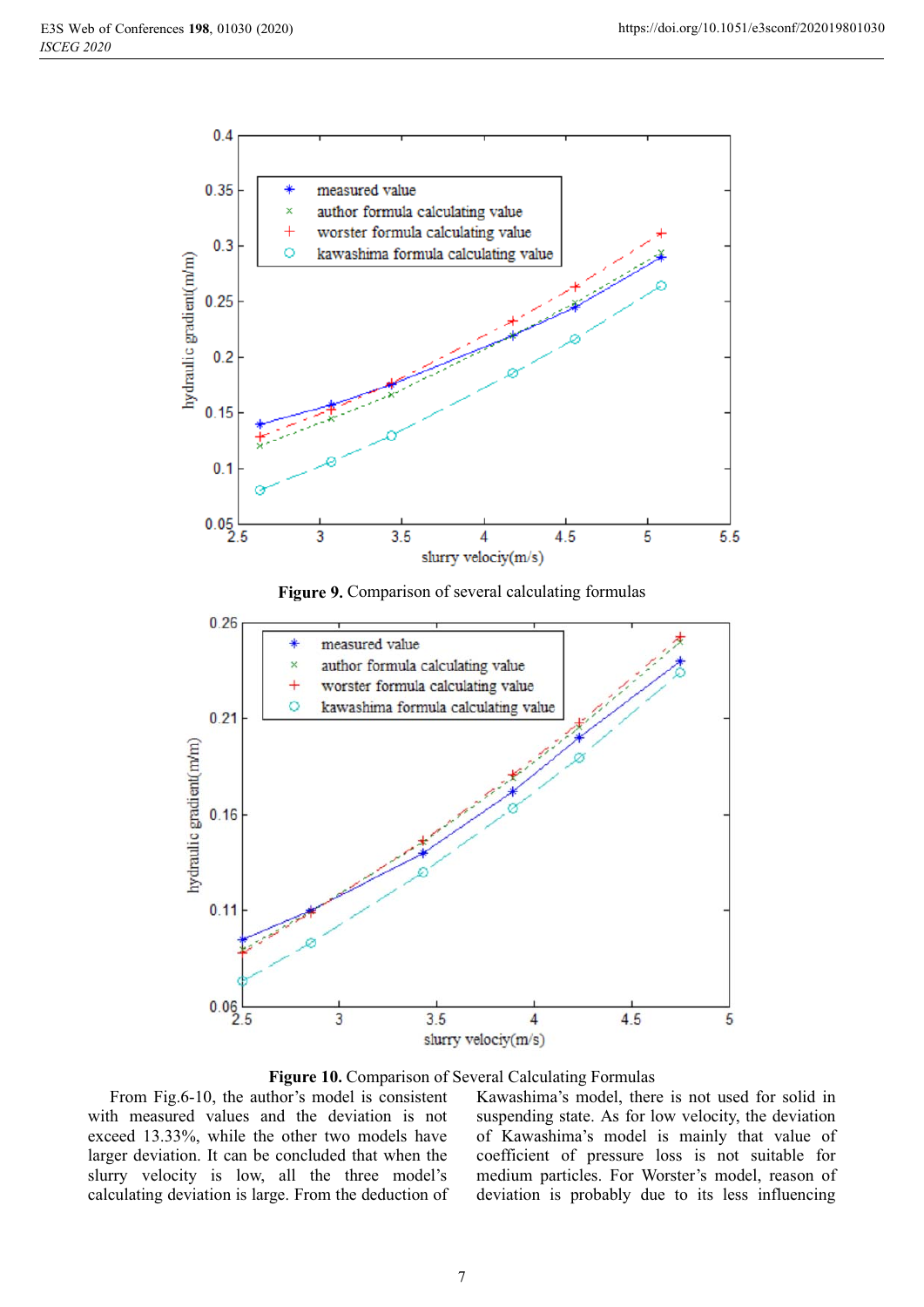

**Figure 9.** Comparison of several calculating formulas



**Figure 10.** Comparison of Several Calculating Formulas

From Fig.6-10, the author's model is consistent with measured values and the deviation is not exceed 13.33%, while the other two models have larger deviation. It can be concluded that when the slurry velocity is low, all the three model's calculating deviation is large. From the deduction of Kawashima's model, there is not used for solid in suspending state. As for low velocity, the deviation of Kawashima's model is mainly that value of coefficient of pressure loss is not suitable for medium particles. For Worster's model, reason of deviation is probably due to its less influencing